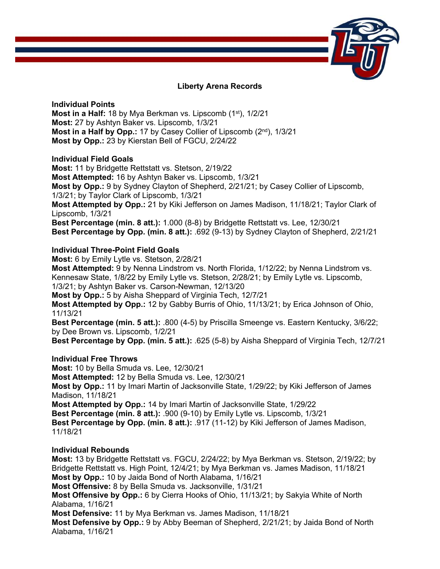

# **Liberty Arena Records**

**Individual Points Most in a Half:** 18 by Mya Berkman vs. Lipscomb (1<sup>st</sup>), 1/2/21 **Most:** 27 by Ashtyn Baker vs. Lipscomb, 1/3/21 **Most in a Half by Opp.: 17 by Casey Collier of Lipscomb (2<sup>nd</sup>), 1/3/21 Most by Opp.:** 23 by Kierstan Bell of FGCU, 2/24/22

# **Individual Field Goals**

**Most:** 11 by Bridgette Rettstatt vs. Stetson, 2/19/22 **Most Attempted:** 16 by Ashtyn Baker vs. Lipscomb, 1/3/21 **Most by Opp.:** 9 by Sydney Clayton of Shepherd, 2/21/21; by Casey Collier of Lipscomb, 1/3/21; by Taylor Clark of Lipscomb, 1/3/21 **Most Attempted by Opp.:** 21 by Kiki Jefferson on James Madison, 11/18/21; Taylor Clark of Lipscomb, 1/3/21 **Best Percentage (min. 8 att.):** 1.000 (8-8) by Bridgette Rettstatt vs. Lee, 12/30/21 **Best Percentage by Opp. (min. 8 att.):** .692 (9-13) by Sydney Clayton of Shepherd, 2/21/21

# **Individual Three-Point Field Goals**

**Most:** 6 by Emily Lytle vs. Stetson, 2/28/21

**Most Attempted:** 9 by Nenna Lindstrom vs. North Florida, 1/12/22; by Nenna Lindstrom vs. Kennesaw State, 1/8/22 by Emily Lytle vs. Stetson, 2/28/21; by Emily Lytle vs. Lipscomb, 1/3/21; by Ashtyn Baker vs. Carson-Newman, 12/13/20

**Most by Opp.:** 5 by Aisha Sheppard of Virginia Tech, 12/7/21

**Most Attempted by Opp.:** 12 by Gabby Burris of Ohio, 11/13/21; by Erica Johnson of Ohio, 11/13/21

**Best Percentage (min. 5 att.):** .800 (4-5) by Priscilla Smeenge vs. Eastern Kentucky, 3/6/22; by Dee Brown vs. Lipscomb, 1/2/21

**Best Percentage by Opp. (min. 5 att.):** .625 (5-8) by Aisha Sheppard of Virginia Tech, 12/7/21

# **Individual Free Throws**

**Most:** 10 by Bella Smuda vs. Lee, 12/30/21 **Most Attempted:** 12 by Bella Smuda vs. Lee, 12/30/21 **Most by Opp.:** 11 by Imari Martin of Jacksonville State, 1/29/22; by Kiki Jefferson of James Madison, 11/18/21 **Most Attempted by Opp.:** 14 by Imari Martin of Jacksonville State, 1/29/22 **Best Percentage (min. 8 att.):** .900 (9-10) by Emily Lytle vs. Lipscomb, 1/3/21 **Best Percentage by Opp. (min. 8 att.):** .917 (11-12) by Kiki Jefferson of James Madison, 11/18/21

## **Individual Rebounds**

**Most:** 13 by Bridgette Rettstatt vs. FGCU, 2/24/22; by Mya Berkman vs. Stetson, 2/19/22; by Bridgette Rettstatt vs. High Point, 12/4/21; by Mya Berkman vs. James Madison, 11/18/21 **Most by Opp.:** 10 by Jaida Bond of North Alabama, 1/16/21 **Most Offensive:** 8 by Bella Smuda vs. Jacksonville, 1/31/21 **Most Offensive by Opp.:** 6 by Cierra Hooks of Ohio, 11/13/21; by Sakyia White of North Alabama, 1/16/21 **Most Defensive:** 11 by Mya Berkman vs. James Madison, 11/18/21 **Most Defensive by Opp.:** 9 by Abby Beeman of Shepherd, 2/21/21; by Jaida Bond of North Alabama, 1/16/21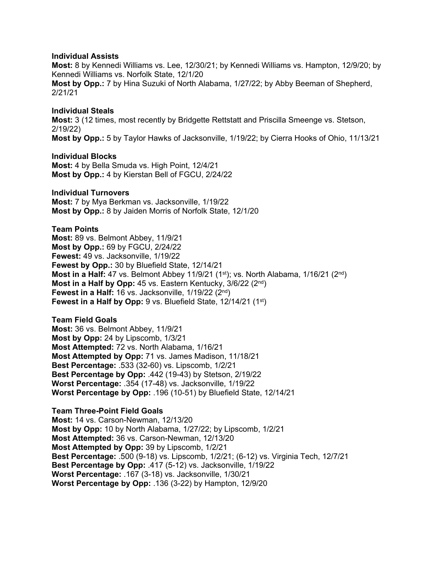## **Individual Assists**

**Most:** 8 by Kennedi Williams vs. Lee, 12/30/21; by Kennedi Williams vs. Hampton, 12/9/20; by Kennedi Williams vs. Norfolk State, 12/1/20

**Most by Opp.:** 7 by Hina Suzuki of North Alabama, 1/27/22; by Abby Beeman of Shepherd, 2/21/21

#### **Individual Steals**

**Most:** 3 (12 times, most recently by Bridgette Rettstatt and Priscilla Smeenge vs. Stetson, 2/19/22)

**Most by Opp.:** 5 by Taylor Hawks of Jacksonville, 1/19/22; by Cierra Hooks of Ohio, 11/13/21

## **Individual Blocks**

**Most:** 4 by Bella Smuda vs. High Point, 12/4/21 **Most by Opp.:** 4 by Kierstan Bell of FGCU, 2/24/22

## **Individual Turnovers**

**Most:** 7 by Mya Berkman vs. Jacksonville, 1/19/22 **Most by Opp.:** 8 by Jaiden Morris of Norfolk State, 12/1/20

**Team Points Most:** 89 vs. Belmont Abbey, 11/9/21 **Most by Opp.:** 69 by FGCU, 2/24/22 **Fewest:** 49 vs. Jacksonville, 1/19/22 **Fewest by Opp.:** 30 by Bluefield State, 12/14/21 **Most in a Half:** 47 vs. Belmont Abbey 11/9/21 (1<sup>st</sup>); vs. North Alabama, 1/16/21 (2<sup>nd</sup>) **Most in a Half by Opp:** 45 vs. Eastern Kentucky, 3/6/22 (2<sup>nd</sup>) **Fewest in a Half:** 16 vs. Jacksonville, 1/19/22 (2nd) **Fewest in a Half by Opp:** 9 vs. Bluefield State, 12/14/21 (1<sup>st</sup>)

**Team Field Goals Most:** 36 vs. Belmont Abbey, 11/9/21 **Most by Opp:** 24 by Lipscomb, 1/3/21 **Most Attempted:** 72 vs. North Alabama, 1/16/21 **Most Attempted by Opp:** 71 vs. James Madison, 11/18/21 **Best Percentage:** .533 (32-60) vs. Lipscomb, 1/2/21 **Best Percentage by Opp:** .442 (19-43) by Stetson, 2/19/22 **Worst Percentage:** .354 (17-48) vs. Jacksonville, 1/19/22 **Worst Percentage by Opp:** .196 (10-51) by Bluefield State, 12/14/21

**Team Three-Point Field Goals Most:** 14 vs. Carson-Newman, 12/13/20 **Most by Opp:** 10 by North Alabama, 1/27/22; by Lipscomb, 1/2/21 **Most Attempted:** 36 vs. Carson-Newman, 12/13/20 **Most Attempted by Opp:** 39 by Lipscomb, 1/2/21 **Best Percentage:** .500 (9-18) vs. Lipscomb, 1/2/21; (6-12) vs. Virginia Tech, 12/7/21 **Best Percentage by Opp:** .417 (5-12) vs. Jacksonville, 1/19/22 **Worst Percentage:** .167 (3-18) vs. Jacksonville, 1/30/21 **Worst Percentage by Opp:** .136 (3-22) by Hampton, 12/9/20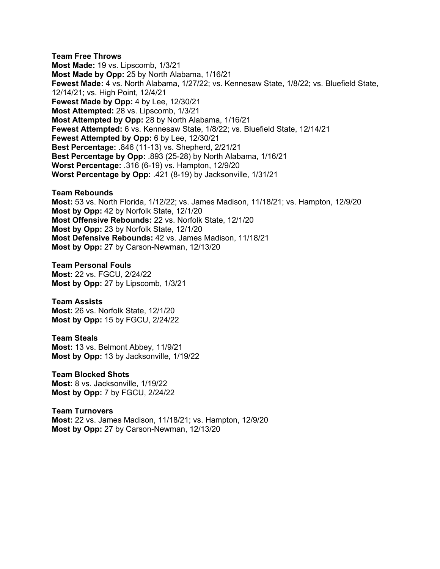**Team Free Throws Most Made:** 19 vs. Lipscomb, 1/3/21 **Most Made by Opp:** 25 by North Alabama, 1/16/21 **Fewest Made:** 4 vs. North Alabama, 1/27/22; vs. Kennesaw State, 1/8/22; vs. Bluefield State, 12/14/21; vs. High Point, 12/4/21 **Fewest Made by Opp:** 4 by Lee, 12/30/21 **Most Attempted:** 28 vs. Lipscomb, 1/3/21 **Most Attempted by Opp:** 28 by North Alabama, 1/16/21 **Fewest Attempted:** 6 vs. Kennesaw State, 1/8/22; vs. Bluefield State, 12/14/21 **Fewest Attempted by Opp:** 6 by Lee, 12/30/21 **Best Percentage:** .846 (11-13) vs. Shepherd, 2/21/21 **Best Percentage by Opp:** .893 (25-28) by North Alabama, 1/16/21 **Worst Percentage:** .316 (6-19) vs. Hampton, 12/9/20 **Worst Percentage by Opp:** .421 (8-19) by Jacksonville, 1/31/21

**Team Rebounds Most:** 53 vs. North Florida, 1/12/22; vs. James Madison, 11/18/21; vs. Hampton, 12/9/20 **Most by Opp:** 42 by Norfolk State, 12/1/20 **Most Offensive Rebounds:** 22 vs. Norfolk State, 12/1/20 **Most by Opp:** 23 by Norfolk State, 12/1/20 **Most Defensive Rebounds:** 42 vs. James Madison, 11/18/21 **Most by Opp:** 27 by Carson-Newman, 12/13/20

**Team Personal Fouls Most:** 22 vs. FGCU, 2/24/22 **Most by Opp:** 27 by Lipscomb, 1/3/21

**Team Assists Most:** 26 vs. Norfolk State, 12/1/20 **Most by Opp:** 15 by FGCU, 2/24/22

**Team Steals Most:** 13 vs. Belmont Abbey, 11/9/21 **Most by Opp:** 13 by Jacksonville, 1/19/22

**Team Blocked Shots Most:** 8 vs. Jacksonville, 1/19/22 **Most by Opp:** 7 by FGCU, 2/24/22

**Team Turnovers Most:** 22 vs. James Madison, 11/18/21; vs. Hampton, 12/9/20 **Most by Opp:** 27 by Carson-Newman, 12/13/20